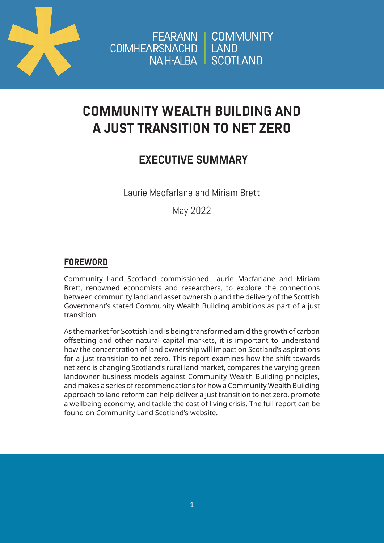

FEARANN | COMMUNITY COIMHEARSNACHD LAND NAH-ALBA SCOTLAND

# **COMMUNITY WEALTH BUILDING AND A JUST TRANSITION TO NET ZERO**

## **EXECUTIVE SUMMARY**

Laurie Macfarlane and Miriam Brett

May 2022

### **FOREWORD**

Community Land Scotland commissioned Laurie Macfarlane and Miriam Brett, renowned economists and researchers, to explore the connections between community land and asset ownership and the delivery of the Scottish Government's stated Community Wealth Building ambitions as part of a just transition.

As the market for Scottish land is being transformed amid the growth of carbon offsetting and other natural capital markets, it is important to understand how the concentration of land ownership will impact on Scotland's aspirations for a just transition to net zero. This report examines how the shift towards net zero is changing Scotland's rural land market, compares the varying green landowner business models against Community Wealth Building principles, and makes a series of recommendations for how a Community Wealth Building approach to land reform can help deliver a just transition to net zero, promote a wellbeing economy, and tackle the cost of living crisis. The full report can be found on Community Land Scotland's website.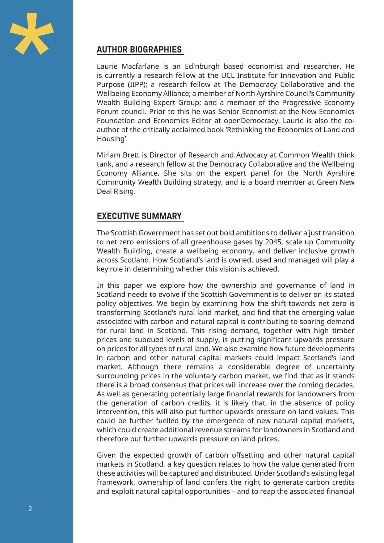

#### **AUTHOR BIOGRAPHIES**

Laurie Macfarlane is an Edinburgh based economist and researcher. He is currently a research fellow at the UCL Institute for Innovation and Public Purpose (IIPP); a research fellow at The Democracy Collaborative and the Wellbeing Economy Alliance; a member of North Ayrshire Council's Community Wealth Building Expert Group; and a member of the Progressive Economy Forum council. Prior to this he was Senior Economist at the New Economics Foundation and Economics Editor at openDemocracy. Laurie is also the coauthor of the critically acclaimed book 'Rethinking the Economics of Land and Housing'.

Miriam Brett is Director of Research and Advocacy at Common Wealth think tank, and a research fellow at the Democracy Collaborative and the Wellbeing Economy Alliance. She sits on the expert panel for the North Ayrshire Community Wealth Building strategy, and is a board member at Green New Deal Rising.

#### **EXECUTIVE SUMMARY**

The Scottish Government has set out bold ambitions to deliver a just transition to net zero emissions of all greenhouse gases by 2045, scale up Community Wealth Building, create a wellbeing economy, and deliver inclusive growth across Scotland. How Scotland's land is owned, used and managed will play a key role in determining whether this vision is achieved.

In this paper we explore how the ownership and governance of land in Scotland needs to evolve if the Scottish Government is to deliver on its stated policy objectives. We begin by examining how the shift towards net zero is transforming Scotland's rural land market, and find that the emerging value associated with carbon and natural capital is contributing to soaring demand for rural land in Scotland. This rising demand, together with high timber prices and subdued levels of supply, is putting significant upwards pressure on prices for all types of rural land. We also examine how future developments in carbon and other natural capital markets could impact Scotland's land market. Although there remains a considerable degree of uncertainty surrounding prices in the voluntary carbon market, we find that as it stands there is a broad consensus that prices will increase over the coming decades. As well as generating potentially large financial rewards for landowners from the generation of carbon credits, it is likely that, in the absence of policy intervention, this will also put further upwards pressure on land values. This could be further fuelled by the emergence of new natural capital markets, which could create additional revenue streams for landowners in Scotland and therefore put further upwards pressure on land prices.

Given the expected growth of carbon offsetting and other natural capital markets in Scotland, a key question relates to how the value generated from these activities will be captured and distributed. Under Scotland's existing legal framework, ownership of land confers the right to generate carbon credits and exploit natural capital opportunities – and to reap the associated financial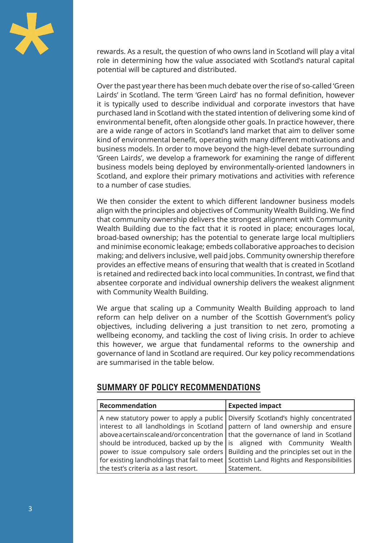

rewards. As a result, the question of who owns land in Scotland will play a vital role in determining how the value associated with Scotland's natural capital potential will be captured and distributed.

Over the past year there has been much debate over the rise of so-called 'Green Lairds' in Scotland. The term 'Green Laird' has no formal definition, however it is typically used to describe individual and corporate investors that have purchased land in Scotland with the stated intention of delivering some kind of environmental benefit, often alongside other goals. In practice however, there are a wide range of actors in Scotland's land market that aim to deliver some kind of environmental benefit, operating with many different motivations and business models. In order to move beyond the high-level debate surrounding 'Green Lairds', we develop a framework for examining the range of different business models being deployed by environmentally-oriented landowners in Scotland, and explore their primary motivations and activities with reference to a number of case studies.

We then consider the extent to which different landowner business models align with the principles and objectives of Community Wealth Building. We find that community ownership delivers the strongest alignment with Community Wealth Building due to the fact that it is rooted in place; encourages local, broad-based ownership; has the potential to generate large local multipliers and minimise economic leakage; embeds collaborative approaches to decision making; and delivers inclusive, well paid jobs. Community ownership therefore provides an effective means of ensuring that wealth that is created in Scotland is retained and redirected back into local communities. In contrast, we find that absentee corporate and individual ownership delivers the weakest alignment with Community Wealth Building.

We argue that scaling up a Community Wealth Building approach to land reform can help deliver on a number of the Scottish Government's policy objectives, including delivering a just transition to net zero, promoting a wellbeing economy, and tackling the cost of living crisis. In order to achieve this however, we argue that fundamental reforms to the ownership and governance of land in Scotland are required. Our key policy recommendations are summarised in the table below.

#### **SUMMARY OF POLICY RECOMMENDATIONS**

| Recommendation                                                                        | <b>Expected impact</b>                                                                                                                                                                                                                                                                                                                                                                                                                            |
|---------------------------------------------------------------------------------------|---------------------------------------------------------------------------------------------------------------------------------------------------------------------------------------------------------------------------------------------------------------------------------------------------------------------------------------------------------------------------------------------------------------------------------------------------|
|                                                                                       | A new statutory power to apply a public Diversify Scotland's highly concentrated<br>interest to all landholdings in Scotland $\sqrt{\frac{1}{1}}$ pattern of land ownership and ensure<br>above a certain scale and/or concentration   that the governance of land in Scotland<br>should be introduced, backed up by the   is aligned with Community Wealth<br>power to issue compulsory sale orders   Building and the principles set out in the |
| for existing landholdings that fail to meet Scottish Land Rights and Responsibilities |                                                                                                                                                                                                                                                                                                                                                                                                                                                   |
| the test's criteria as a last resort.                                                 | Statement.                                                                                                                                                                                                                                                                                                                                                                                                                                        |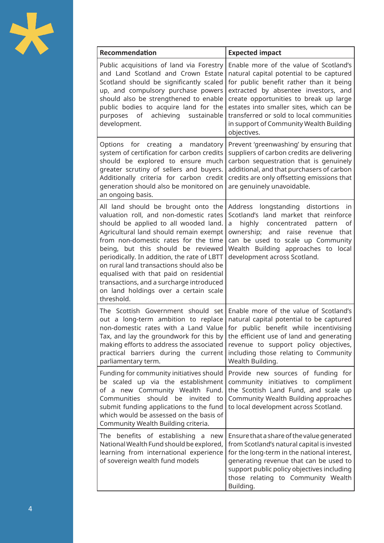

| Recommendation                                                                                                                                                                                                                                                                                                                                                                                                                                                                           | <b>Expected impact</b>                                                                                                                                                                                                                                                                                                                                                                       |
|------------------------------------------------------------------------------------------------------------------------------------------------------------------------------------------------------------------------------------------------------------------------------------------------------------------------------------------------------------------------------------------------------------------------------------------------------------------------------------------|----------------------------------------------------------------------------------------------------------------------------------------------------------------------------------------------------------------------------------------------------------------------------------------------------------------------------------------------------------------------------------------------|
| Public acquisitions of land via Forestry<br>and Land Scotland and Crown Estate<br>Scotland should be significantly scaled<br>up, and compulsory purchase powers<br>should also be strengthened to enable<br>public bodies to acquire land for the<br>purposes of achieving<br>sustainable<br>development.                                                                                                                                                                                | Enable more of the value of Scotland's<br>natural capital potential to be captured<br>for public benefit rather than it being<br>extracted by absentee investors, and<br>create opportunities to break up large<br>estates into smaller sites, which can be<br>transferred or sold to local communities<br>in support of Community Wealth Building<br>objectives.                            |
| Options for creating a mandatory<br>system of certification for carbon credits<br>should be explored to ensure much<br>greater scrutiny of sellers and buyers.<br>Additionally criteria for carbon credit<br>generation should also be monitored on<br>an ongoing basis.                                                                                                                                                                                                                 | Prevent 'greenwashing' by ensuring that<br>suppliers of carbon credits are delivering<br>carbon sequestration that is genuinely<br>additional, and that purchasers of carbon<br>credits are only offsetting emissions that<br>are genuinely unavoidable.                                                                                                                                     |
| All land should be brought onto the<br>valuation roll, and non-domestic rates<br>should be applied to all wooded land.<br>Agricultural land should remain exempt<br>from non-domestic rates for the time<br>being, but this should be reviewed<br>periodically. In addition, the rate of LBTT<br>on rural land transactions should also be<br>equalised with that paid on residential<br>transactions, and a surcharge introduced<br>on land holdings over a certain scale<br>threshold. | Address longstanding distortions<br>in<br>Scotland's land market that reinforce<br>of<br>highly concentrated pattern<br>a<br>ownership; and raise revenue<br>that<br>can be used to scale up Community<br>Wealth Building approaches to local<br>development across Scotland.                                                                                                                |
| Tax, and lay the groundwork for this by<br>making efforts to address the associated<br>practical barriers during the current<br>parliamentary term.                                                                                                                                                                                                                                                                                                                                      | The Scottish Government should set Enable more of the value of Scotland's<br>out a long-term ambition to replace   natural capital potential to be captured<br>non-domestic rates with a Land Value for public benefit while incentivising<br>the efficient use of land and generating<br>revenue to support policy objectives,<br>including those relating to Community<br>Wealth Building. |
| Funding for community initiatives should<br>be scaled up via the establishment<br>of a new Community Wealth Fund.<br>should<br>Communities<br>be<br>invited<br>to<br>submit funding applications to the fund<br>which would be assessed on the basis of<br>Community Wealth Building criteria.                                                                                                                                                                                           | Provide new sources of funding for<br>community initiatives to compliment<br>the Scottish Land Fund, and scale up<br>Community Wealth Building approaches<br>to local development across Scotland.                                                                                                                                                                                           |
| The benefits of establishing a<br>new<br>National Wealth Fund should be explored,<br>learning from international experience<br>of sovereign wealth fund models                                                                                                                                                                                                                                                                                                                           | Ensure that a share of the value generated<br>from Scotland's natural capital is invested<br>for the long-term in the national interest,<br>generating revenue that can be used to<br>support public policy objectives including<br>those relating to Community Wealth<br>Building.                                                                                                          |